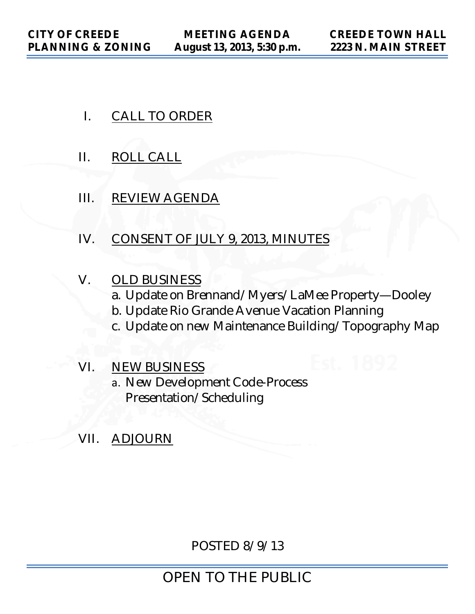- I. CALL TO ORDER
- II. ROLL CALL
- III. REVIEW AGENDA
- IV. CONSENT OF JULY 9, 2013, MINUTES
- V. OLD BUSINESS a. Update on Brennand/Myers/LaMee Property—Dooley b. Update Rio Grande Avenue Vacation Planning
	- c. Update on new Maintenance Building/Topography Map
- VI. NEW BUSINESS
	- a. New Development Code-Process Presentation/Scheduling
- VII. ADJOURN

POSTED 8/9/13